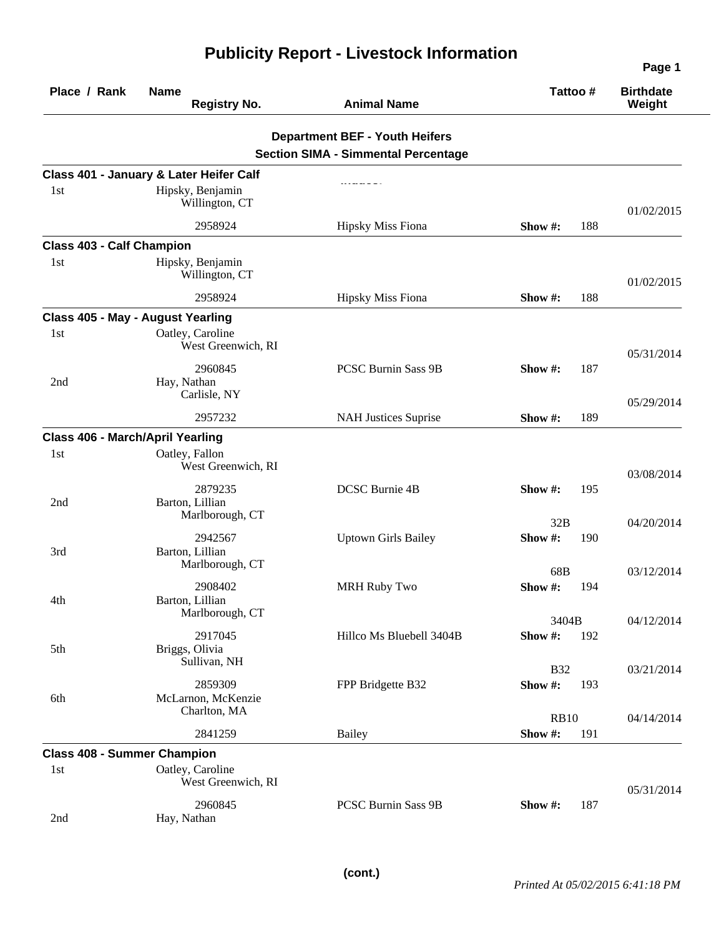|                                  |                                                                                 |                                            |                              | Page 1                     |  |
|----------------------------------|---------------------------------------------------------------------------------|--------------------------------------------|------------------------------|----------------------------|--|
| Place / Rank                     | <b>Name</b><br><b>Registry No.</b>                                              | <b>Animal Name</b>                         | Tattoo #                     | <b>Birthdate</b><br>Weight |  |
|                                  |                                                                                 | <b>Department BEF - Youth Heifers</b>      |                              |                            |  |
|                                  |                                                                                 | <b>Section SIMA - Simmental Percentage</b> |                              |                            |  |
|                                  | Class 401 - January & Later Heifer Calf                                         |                                            |                              |                            |  |
| 1st                              | Hipsky, Benjamin<br>Willington, CT                                              |                                            |                              | 01/02/2015                 |  |
|                                  | 2958924                                                                         | <b>Hipsky Miss Fiona</b>                   | 188<br>Show $#$ :            |                            |  |
| <b>Class 403 - Calf Champion</b> |                                                                                 |                                            |                              |                            |  |
| 1st                              | Hipsky, Benjamin<br>Willington, CT                                              |                                            |                              | 01/02/2015                 |  |
|                                  | 2958924                                                                         | <b>Hipsky Miss Fiona</b>                   | 188<br>Show #:               |                            |  |
|                                  | Class 405 - May - August Yearling                                               |                                            |                              |                            |  |
| 1st                              | Oatley, Caroline<br>West Greenwich, RI                                          |                                            |                              | 05/31/2014                 |  |
| 2nd                              | 2960845<br>Hay, Nathan<br>Carlisle, NY                                          | PCSC Burnin Sass 9B                        | 187<br>Show#:                |                            |  |
|                                  |                                                                                 |                                            | Show #:                      | 05/29/2014                 |  |
|                                  | 2957232                                                                         | <b>NAH Justices Suprise</b>                | 189                          |                            |  |
| 1st                              | <b>Class 406 - March/April Yearling</b><br>Oatley, Fallon<br>West Greenwich, RI |                                            |                              | 03/08/2014                 |  |
| 2nd                              | 2879235<br>Barton, Lillian<br>Marlborough, CT                                   | <b>DCSC Burnie 4B</b>                      | Show #:<br>195<br>32B        | 04/20/2014                 |  |
| 3rd                              | 2942567<br>Barton, Lillian<br>Marlborough, CT                                   | <b>Uptown Girls Bailey</b>                 | Show#:<br>190                |                            |  |
| 4th                              | 2908402<br>Barton, Lillian<br>Marlborough, CT                                   | <b>MRH Ruby Two</b>                        | 68B<br><b>Show #:</b> 194    | 03/12/2014                 |  |
| 5th                              | 2917045<br>Briggs, Olivia<br>Sullivan, NH                                       | Hillco Ms Bluebell 3404B                   | 3404B<br>Show#:<br>192       | 04/12/2014                 |  |
| 6th                              | 2859309<br>McLarnon, McKenzie<br>Charlton, MA                                   | FPP Bridgette B32                          | <b>B32</b><br>Show #:<br>193 | 03/21/2014                 |  |
|                                  | 2841259                                                                         | <b>Bailey</b>                              | <b>RB10</b><br>Show#:<br>191 | 04/14/2014                 |  |
|                                  | <b>Class 408 - Summer Champion</b>                                              |                                            |                              |                            |  |
| 1st                              | Oatley, Caroline<br>West Greenwich, RI                                          |                                            |                              | 05/31/2014                 |  |
| 2nd                              | 2960845<br>Hay, Nathan                                                          | PCSC Burnin Sass 9B                        | Show #:<br>187               |                            |  |

## **Publicity Report - Livestock Information**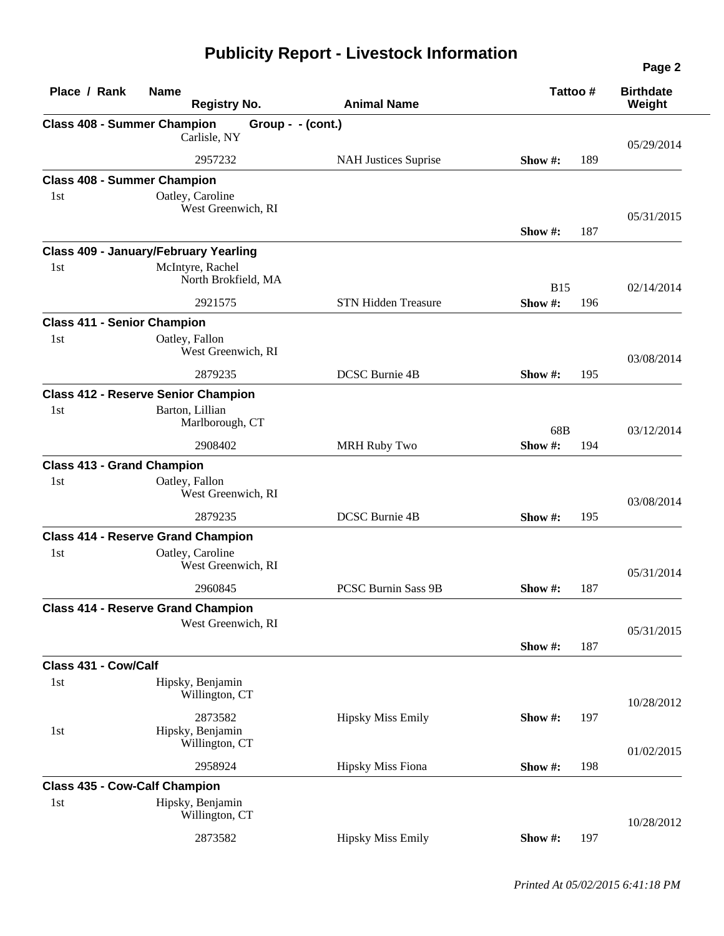## **Publicity Report - Livestock Information**

| Place / Rank         | <b>Name</b><br><b>Registry No.</b>            | <b>Animal Name</b>          | Tattoo #          | <b>Birthdate</b><br>Weight |
|----------------------|-----------------------------------------------|-----------------------------|-------------------|----------------------------|
|                      | <b>Class 408 - Summer Champion</b>            | Group - - (cont.)           |                   |                            |
|                      | Carlisle, NY                                  |                             |                   | 05/29/2014                 |
|                      | 2957232                                       | <b>NAH Justices Suprise</b> | 189<br>Show $#$ : |                            |
|                      | <b>Class 408 - Summer Champion</b>            |                             |                   |                            |
| 1st                  | Oatley, Caroline                              |                             |                   |                            |
|                      | West Greenwich, RI                            |                             |                   | 05/31/2015                 |
|                      |                                               |                             | 187<br>Show $#$ : |                            |
|                      | <b>Class 409 - January/February Yearling</b>  |                             |                   |                            |
| 1st                  | McIntyre, Rachel<br>North Brokfield, MA       |                             | <b>B</b> 15       | 02/14/2014                 |
|                      | 2921575                                       | <b>STN Hidden Treasure</b>  | Show#:<br>196     |                            |
|                      | <b>Class 411 - Senior Champion</b>            |                             |                   |                            |
| 1st                  | Oatley, Fallon<br>West Greenwich, RI          |                             |                   | 03/08/2014                 |
|                      | 2879235                                       | DCSC Burnie 4B              | Show #:<br>195    |                            |
|                      | <b>Class 412 - Reserve Senior Champion</b>    |                             |                   |                            |
| 1st                  | Barton, Lillian<br>Marlborough, CT            |                             | 68B               | 03/12/2014                 |
|                      | 2908402                                       | <b>MRH Ruby Two</b>         | Show #:<br>194    |                            |
|                      | <b>Class 413 - Grand Champion</b>             |                             |                   |                            |
| 1st                  | Oatley, Fallon                                |                             |                   |                            |
|                      | West Greenwich, RI                            |                             |                   | 03/08/2014                 |
|                      | 2879235                                       | DCSC Burnie 4B              | 195<br>Show $#$ : |                            |
|                      | <b>Class 414 - Reserve Grand Champion</b>     |                             |                   |                            |
| 1st                  | Oatley, Caroline<br>West Greenwich, RI        |                             |                   | 05/31/2014                 |
|                      | 2960845                                       | <b>PCSC Burnin Sass 9B</b>  | 187<br>Show $#$ : |                            |
|                      | <b>Class 414 - Reserve Grand Champion</b>     |                             |                   |                            |
|                      | West Greenwich, RI                            |                             |                   | 05/31/2015                 |
|                      |                                               |                             | 187<br>Show #:    |                            |
| Class 431 - Cow/Calf |                                               |                             |                   |                            |
| 1st                  | Hipsky, Benjamin<br>Willington, CT            |                             |                   | 10/28/2012                 |
| 1st                  | 2873582<br>Hipsky, Benjamin<br>Willington, CT | <b>Hipsky Miss Emily</b>    | Show#:<br>197     | 01/02/2015                 |
|                      | 2958924                                       | Hipsky Miss Fiona           | Show #:<br>198    |                            |
|                      | <b>Class 435 - Cow-Calf Champion</b>          |                             |                   |                            |
| 1st                  | Hipsky, Benjamin<br>Willington, CT            |                             |                   | 10/28/2012                 |
|                      | 2873582                                       | <b>Hipsky Miss Emily</b>    | Show#:<br>197     |                            |

**Page 2**